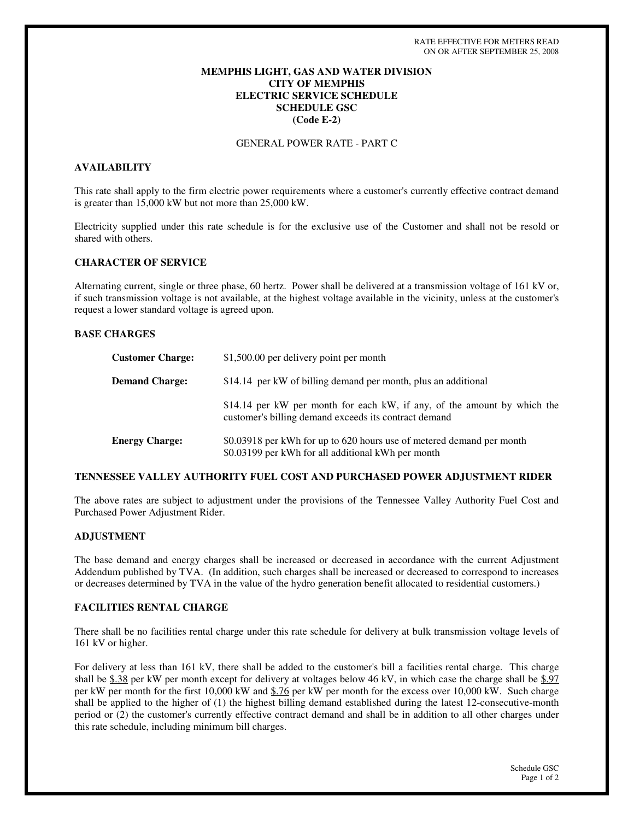# **MEMPHIS LIGHT, GAS AND WATER DIVISION CITY OF MEMPHIS ELECTRIC SERVICE SCHEDULE SCHEDULE GSC (Code E-2)**

GENERAL POWER RATE - PART C

# **AVAILABILITY**

This rate shall apply to the firm electric power requirements where a customer's currently effective contract demand is greater than 15,000 kW but not more than 25,000 kW.

Electricity supplied under this rate schedule is for the exclusive use of the Customer and shall not be resold or shared with others.

### **CHARACTER OF SERVICE**

Alternating current, single or three phase, 60 hertz. Power shall be delivered at a transmission voltage of 161 kV or, if such transmission voltage is not available, at the highest voltage available in the vicinity, unless at the customer's request a lower standard voltage is agreed upon.

### **BASE CHARGES**

| <b>Customer Charge:</b> | \$1,500.00 per delivery point per month                                                                                           |
|-------------------------|-----------------------------------------------------------------------------------------------------------------------------------|
| <b>Demand Charge:</b>   | \$14.14 per kW of billing demand per month, plus an additional                                                                    |
|                         | \$14.14 per kW per month for each kW, if any, of the amount by which the<br>customer's billing demand exceeds its contract demand |
| <b>Energy Charge:</b>   | \$0.03918 per kWh for up to 620 hours use of metered demand per month<br>\$0.03199 per kWh for all additional kWh per month       |

### **TENNESSEE VALLEY AUTHORITY FUEL COST AND PURCHASED POWER ADJUSTMENT RIDER**

The above rates are subject to adjustment under the provisions of the Tennessee Valley Authority Fuel Cost and Purchased Power Adjustment Rider.

### **ADJUSTMENT**

The base demand and energy charges shall be increased or decreased in accordance with the current Adjustment Addendum published by TVA. (In addition, such charges shall be increased or decreased to correspond to increases or decreases determined by TVA in the value of the hydro generation benefit allocated to residential customers.)

### **FACILITIES RENTAL CHARGE**

There shall be no facilities rental charge under this rate schedule for delivery at bulk transmission voltage levels of 161 kV or higher.

For delivery at less than 161 kV, there shall be added to the customer's bill a facilities rental charge. This charge shall be \$.38 per kW per month except for delivery at voltages below 46 kV, in which case the charge shall be \$.97 per kW per month for the first 10,000 kW and \$.76 per kW per month for the excess over 10,000 kW. Such charge shall be applied to the higher of (1) the highest billing demand established during the latest 12-consecutive-month period or (2) the customer's currently effective contract demand and shall be in addition to all other charges under this rate schedule, including minimum bill charges.